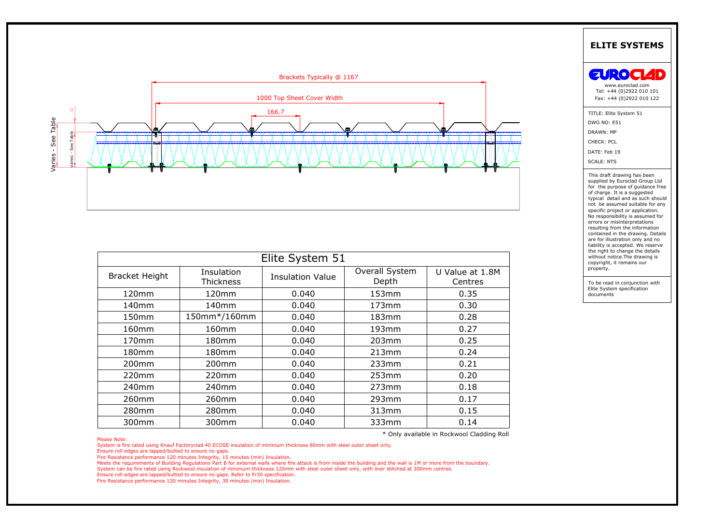

|                                |                |                                            |                |                 | <b>ELITE SYSTEMS</b>                                                                                                                                                                                                                                                                                                                                                                                                                                                  |
|--------------------------------|----------------|--------------------------------------------|----------------|-----------------|-----------------------------------------------------------------------------------------------------------------------------------------------------------------------------------------------------------------------------------------------------------------------------------------------------------------------------------------------------------------------------------------------------------------------------------------------------------------------|
|                                |                | Brackets Typically @ 1167                  |                |                 | EUROC                                                                                                                                                                                                                                                                                                                                                                                                                                                                 |
|                                |                |                                            |                |                 | www.euroclad.com<br>Tel: +44 (0)2922 010 101                                                                                                                                                                                                                                                                                                                                                                                                                          |
|                                |                | 1000 Top Sheet Cover Width                 |                |                 | Fax: +44 (0)2922 010 122                                                                                                                                                                                                                                                                                                                                                                                                                                              |
|                                |                |                                            |                |                 | TITLE: Elite System 51<br>DWG NO: E51<br>DRAWN: MP<br>CHECK: PCL<br>DATE: Feb 19<br><b>SCALE: NTS</b>                                                                                                                                                                                                                                                                                                                                                                 |
|                                |                |                                            |                |                 | supplied by Euroclad Group Ltd                                                                                                                                                                                                                                                                                                                                                                                                                                        |
|                                |                |                                            |                |                 | for the purpose of guidance free<br>of charge. It is a suggested<br>typical detail and as such should<br>not be assumed suitable for any<br>specific project or application.<br>No responsibility is assumed for<br>errors or misinterpretations<br>resulting from the information<br>contained in the drawing. Details<br>are for illustration only and no<br>liability is accepted. We reserve<br>the right to change the details<br>without notice. The drawing is |
|                                | Insulation     | Elite System 51<br><b>Insulation Value</b> | Overall System | U Value at 1.8M | copyright, it remains our<br>property.                                                                                                                                                                                                                                                                                                                                                                                                                                |
|                                | Thickness      |                                            | Depth          | Centres         | To be read in conjunction with<br>Elite System specification                                                                                                                                                                                                                                                                                                                                                                                                          |
| 120mm                          | 120mm          | 0.040                                      | 153mm          | 0.35            | documents                                                                                                                                                                                                                                                                                                                                                                                                                                                             |
| 140mm                          | 140mm          | 0.040                                      | 173mm          | 0.30            |                                                                                                                                                                                                                                                                                                                                                                                                                                                                       |
| 150mm                          | 150mm*/160mm   | 0.040                                      | 183mm          | 0.28            |                                                                                                                                                                                                                                                                                                                                                                                                                                                                       |
| 160mm                          | 160mm          | 0.040                                      | 193mm          | 0.27            |                                                                                                                                                                                                                                                                                                                                                                                                                                                                       |
| 170mm                          | 180mm          | 0.040                                      | 203mm          | 0.25            |                                                                                                                                                                                                                                                                                                                                                                                                                                                                       |
| 180mm                          | 180mm          | 0.040                                      | 213mm          | 0.24            |                                                                                                                                                                                                                                                                                                                                                                                                                                                                       |
| <b>Bracket Height</b><br>200mm | 200mm          | 0.040                                      | 233mm          | 0.21            |                                                                                                                                                                                                                                                                                                                                                                                                                                                                       |
| 220mm                          | 220mm          | 0.040                                      | 253mm          | 0.20            |                                                                                                                                                                                                                                                                                                                                                                                                                                                                       |
| 240mm                          | 240mm          | 0.040                                      | 273mm          | 0.18            |                                                                                                                                                                                                                                                                                                                                                                                                                                                                       |
| 260mm                          | 260mm          | 0.040                                      | 293mm          | 0.17            |                                                                                                                                                                                                                                                                                                                                                                                                                                                                       |
| 280mm<br>300mm                 | 280mm<br>300mm | 0.040<br>0.040                             | 313mm<br>333mm | 0.15<br>0.14    |                                                                                                                                                                                                                                                                                                                                                                                                                                                                       |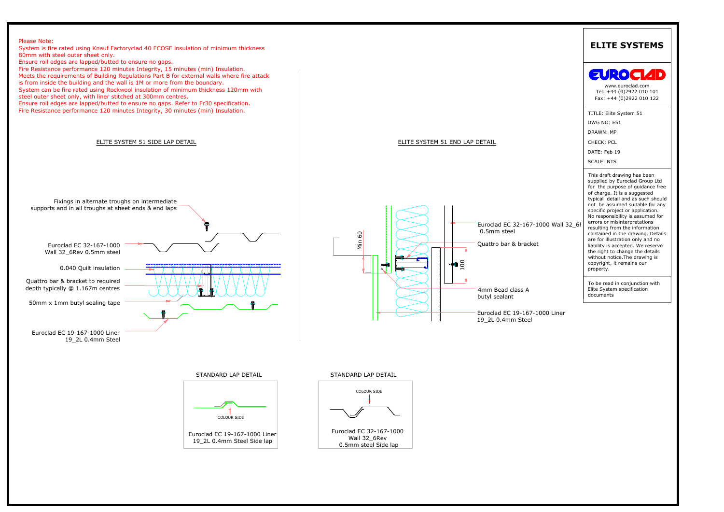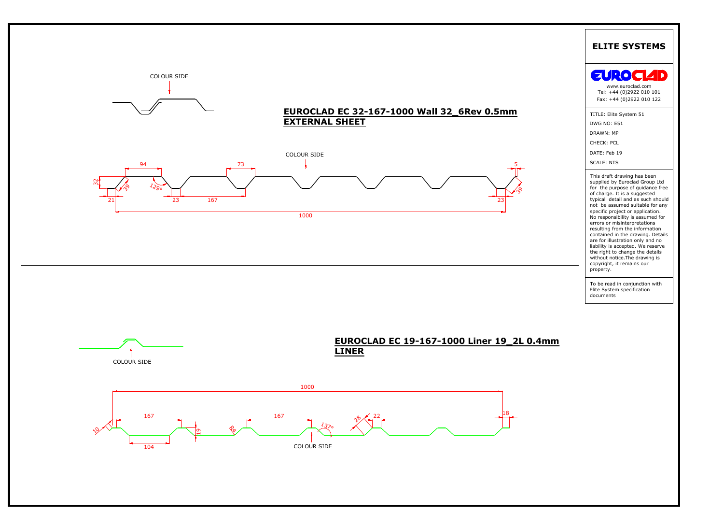![](_page_2_Figure_0.jpeg)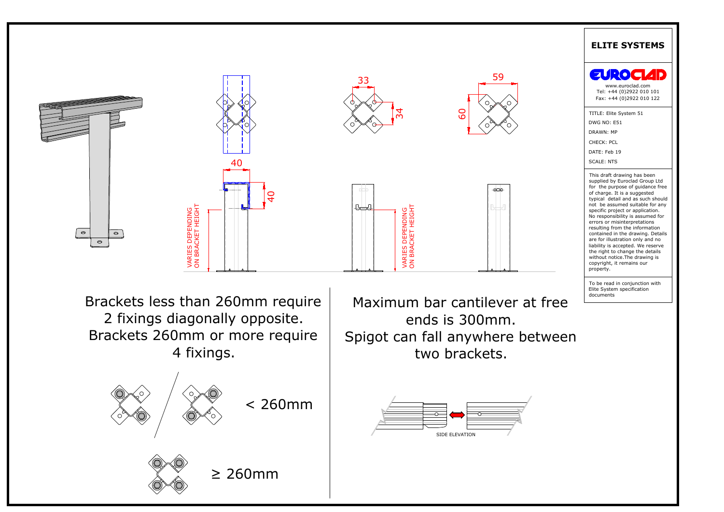![](_page_3_Figure_0.jpeg)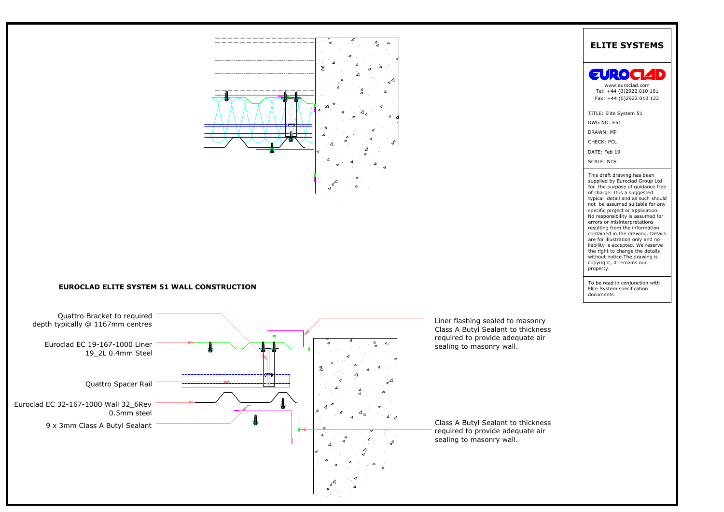![](_page_4_Figure_0.jpeg)

![](_page_4_Figure_2.jpeg)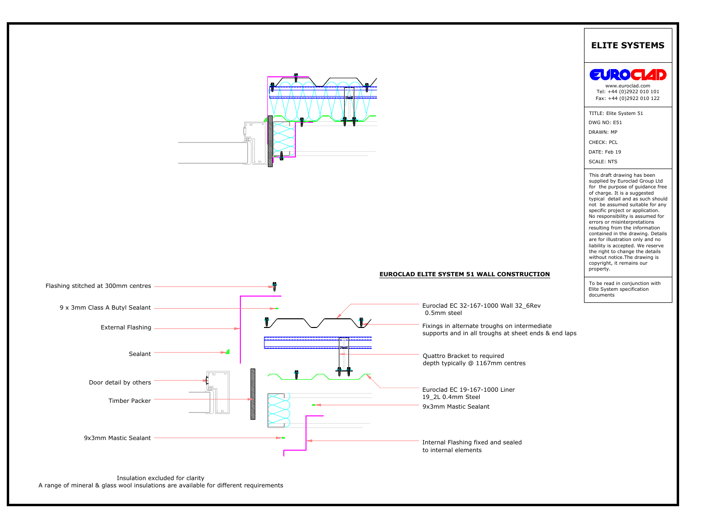![](_page_5_Figure_0.jpeg)

![](_page_5_Figure_2.jpeg)

![](_page_5_Picture_5.jpeg)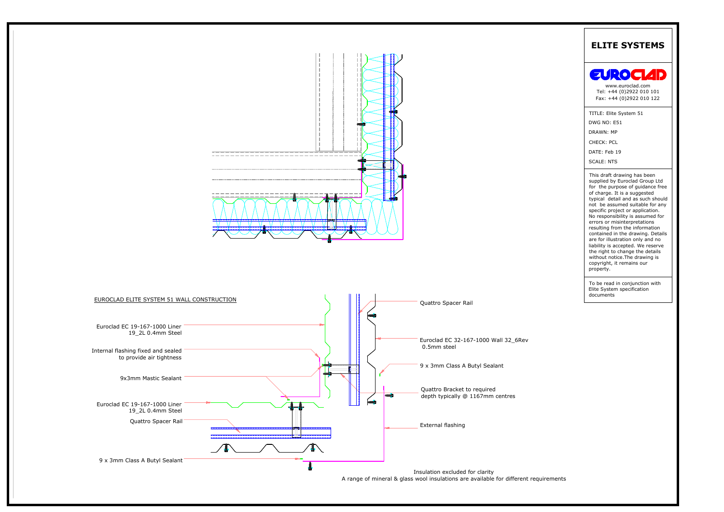![](_page_6_Figure_0.jpeg)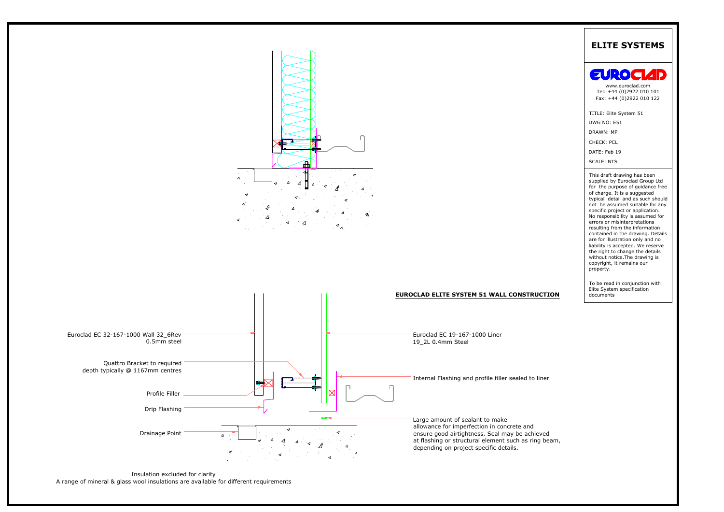![](_page_7_Figure_0.jpeg)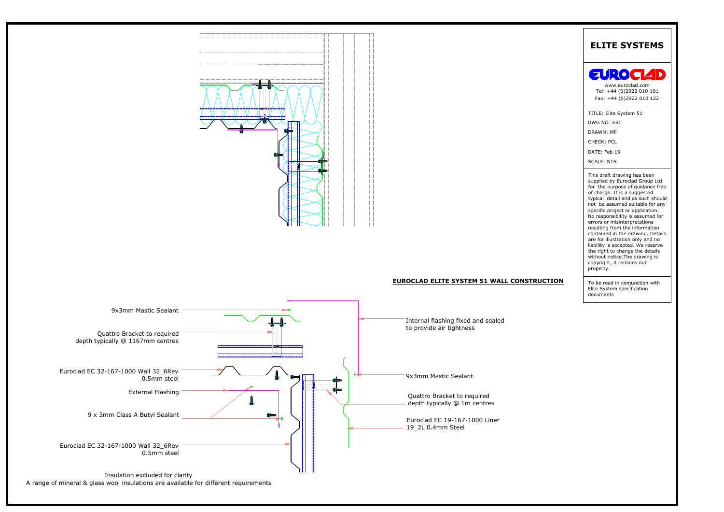![](_page_8_Figure_0.jpeg)

![](_page_8_Figure_2.jpeg)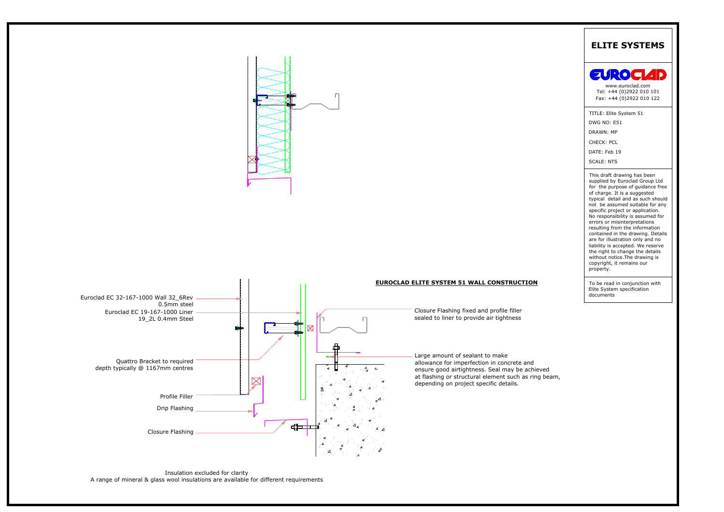![](_page_9_Figure_0.jpeg)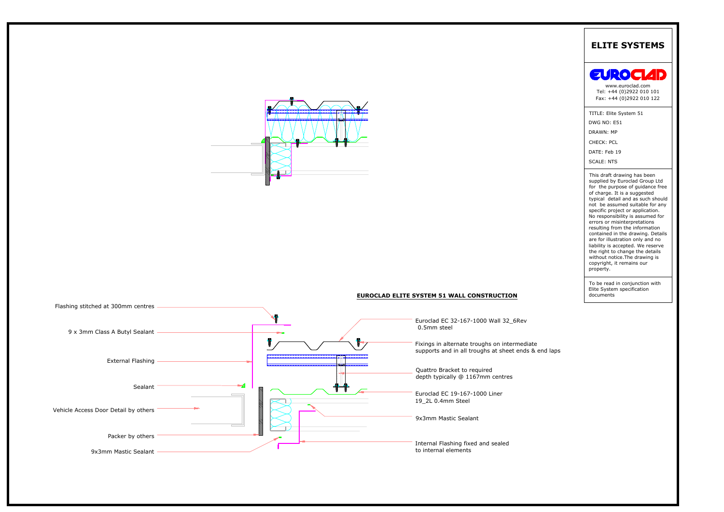![](_page_10_Picture_0.jpeg)

![](_page_10_Figure_1.jpeg)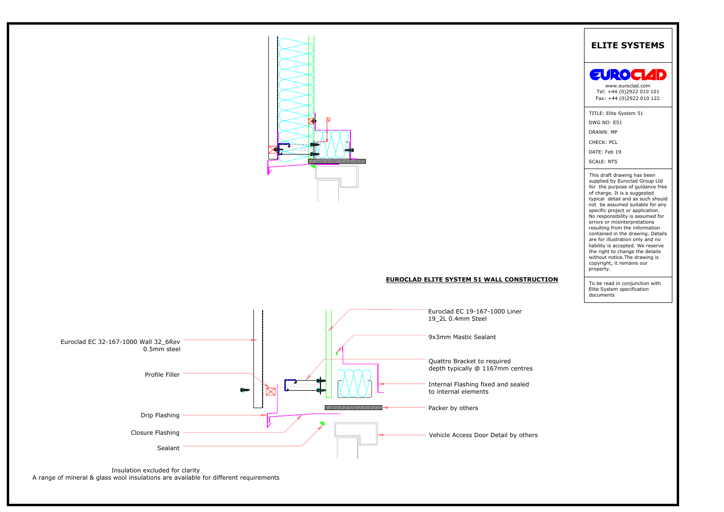![](_page_11_Picture_0.jpeg)

# **EUROCLAD ELITE SYSTEM 51 WALL CONSTRUCTION**

![](_page_11_Figure_2.jpeg)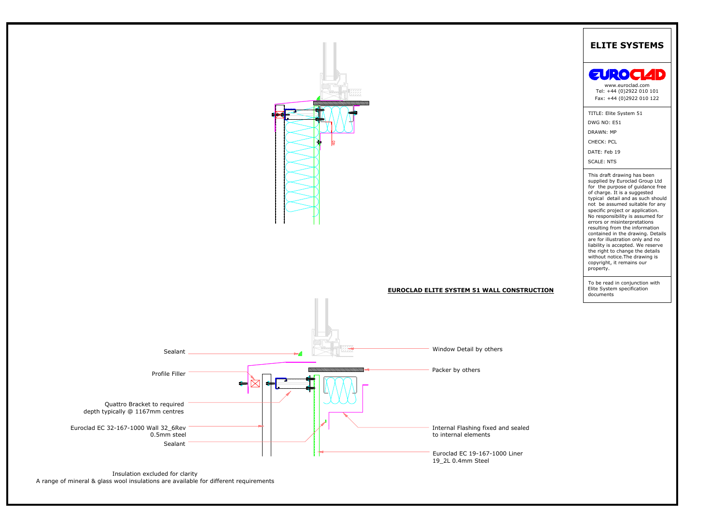![](_page_12_Figure_0.jpeg)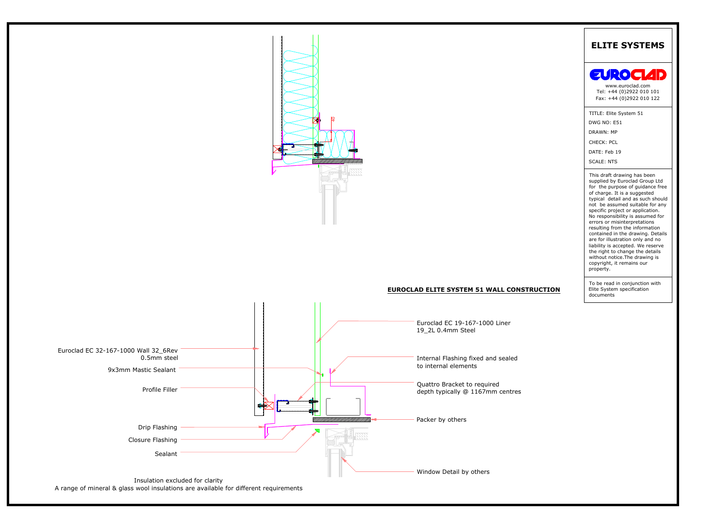![](_page_13_Figure_0.jpeg)

A range of mineral & glass wool insulations are available for different requirements